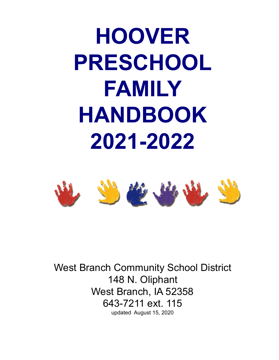**HOOVER PRESCHOOL FAMILY HANDBOOK 2021-2022**



West Branch Community School District 148 N. Oliphant West Branch, IA 52358 643-7211 ext. 115 updated August 15, 2020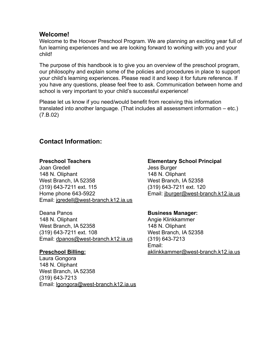#### **Welcome!**

Welcome to the Hoover Preschool Program. We are planning an exciting year full of fun learning experiences and we are looking forward to working with you and your child!

The purpose of this handbook is to give you an overview of the preschool program, our philosophy and explain some of the policies and procedures in place to support your child's learning experiences. Please read it and keep it for future reference. If you have any questions, please feel free to ask. Communication between home and school is very important to your child's successful experience!

Please let us know if you need/would benefit from receiving this information translated into another language. (That includes all assessment information – etc.) (7.B.02)

# **Contact Information:**

#### **Preschool Teachers**

Joan Gredell 148 N. Oliphant West Branch, IA 52358 (319) 643-7211 ext. 115 Home phone 643-5922 Email: [jgredell@west-branch.k12.ia.us](mailto:jdonovan@west-branch.k12.ia.us)

Deana Panos 148 N. Oliphant West Branch, IA 52358 (319) 643-7211 ext. 108 Email: [dpanos@west-branch.k12.ia.us](mailto:dpanos@west-branch.k12.ia.us)

#### **Preschool Billing:**

Laura Gongora 148 N. Oliphant West Branch, IA 52358 (319) 643-7213 Email: [lgongora@west-branch.k12.ia.us](mailto:lgongora@west-branch.k12.ia.us)

#### **Elementary School Principal** Jess Burger

148 N. Oliphant West Branch, IA 52358 (319) 643-7211 ext. 120 Email: [jburger@west-branch.k12.ia.us](mailto:jburger@west-branch.k12.ia.us)

#### **Business Manager:**

Angie Klinkkammer 148 N. Oliphant West Branch, IA 52358 (319) 643-7213 Email: [aklinkkammer@west-branch.k12.ia.us](mailto:aklinkkammer@west-branch.k12.ia.us)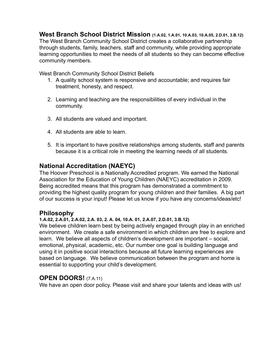**West Branch School District Mission (1.A.02, 1.A.01, 10.A.03, 10.A.05, 2.D.01, 3.B.12)** The West Branch Community School District creates a collaborative partnership through students, family, teachers, staff and community, while providing appropriate learning opportunities to meet the needs of all students so they can become effective community members.

West Branch Community School District Beliefs

- 1. A quality school system is responsive and accountable; and requires fair treatment, honesty, and respect.
- 2. Learning and teaching are the responsibilities of every individual in the community.
- 3. All students are valued and important.
- 4. All students are able to learn.
- 5. It is important to have positive relationships among students, staff and parents because it is a critical role in meeting the learning needs of all students.

# **National Accreditation (NAEYC)**

The Hoover Preschool is a Nationally Accredited program. We earned the National Association for the Education of Young Children (NAEYC) accreditation in 2009. Being accredited means that this program has demonstrated a commitment to providing the highest quality program for young children and their families. A big part of our success is your input! Please let us know if you have any concerns/ideas/etc!

# **Philosophy**

#### **1.A.02, 2.A.01, 2.A.02, 2.A. 03, 2. A. 04, 10.A. 01, 2.A.07, 2.D.01, 3.B.12)**

We believe children learn best by being actively engaged through play in an enriched environment. We create a safe environment in which children are free to explore and learn. We believe all aspects of children's development are important – social, emotional, physical, academic, etc. Our number one goal is building language and using it in positive social interactions because all future learning experiences are based on language. We believe communication between the program and home is essential to supporting your child's development.

# **OPEN DOORS!** (7.A.11)

We have an open door policy. Please visit and share your talents and ideas with us!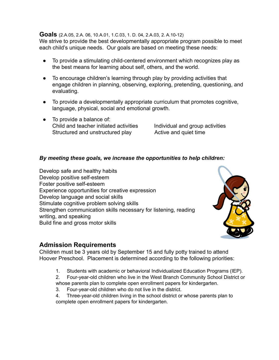#### **Goals** (2.A.05, 2.A. 06, 10.A.01, 1.C.03, 1. D. 04, 2.A.03, 2. A.10-12)

We strive to provide the best developmentally appropriate program possible to meet each child's unique needs. Our goals are based on meeting these needs:

- To provide a stimulating child-centered environment which recognizes play as the best means for learning about self, others, and the world.
- To encourage children's learning through play by providing activities that engage children in planning, observing, exploring, pretending, questioning, and evaluating.
- To provide a developmentally appropriate curriculum that promotes cognitive, language, physical, social and emotional growth.
- To provide a balance of: Child and teacher initiated activities Individual and group activities Structured and unstructured play **Active and quiet time**

#### *By meeting these goals, we increase the opportunities to help children:*

Develop safe and healthy habits Develop positive self-esteem Foster positive self-esteem Experience opportunities for creative expression Develop language and social skills Stimulate cognitive problem solving skills Strengthen communication skills necessary for listening, reading writing, and speaking Build fine and gross motor skills



#### **Admission Requirements**

Children must be 3 years old by September 15 and fully potty trained to attend Hoover Preschool. Placement is determined according to the following priorities:

1. Students with academic or behavioral Individualized Education Programs (IEP).

2. Four-year-old children who live in the West Branch Community School District or whose parents plan to complete open enrollment papers for kindergarten.

3. Four-year-old children who do not live in the district.

4. Three-year-old children living in the school district or whose parents plan to complete open enrollment papers for kindergarten.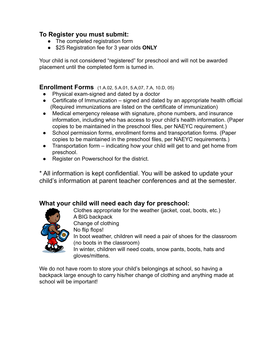# **To Register you must submit:**

- The completed registration form
- \$25 Registration fee for 3 year olds **ONLY**

Your child is not considered "registered" for preschool and will not be awarded placement until the completed form is turned in.

## **Enrollment Forms** (1.A.02, 5.A.01, 5.A,07, 7.A, 10.D, 05)

- Physical exam-signed and dated by a doctor
- Certificate of Immunization signed and dated by an appropriate health official (Required immunizations are listed on the certificate of immunization)
- Medical emergency release with signature, phone numbers, and insurance information, including who has access to your child's health information. (Paper copies to be maintained in the preschool files, per NAEYC requirement.)
- School permission forms, enrollment forms and transportation forms. (Paper copies to be maintained in the preschool files, per NAEYC requirements.)
- Transportation form indicating how your child will get to and get home from preschool.
- Register on Powerschool for the district.

\* All information is kept confidential. You will be asked to update your child's information at parent teacher conferences and at the semester.

# **What your child will need each day for preschool:**

Clothes appropriate for the weather (jacket, coat, boots, etc.) A BIG backpack Change of clothing No flip flops! In boot weather, children will need a pair of shoes for the classroom (no boots in the classroom) In winter, children will need coats, snow pants, boots, hats and gloves/mittens.

We do not have room to store your child's belongings at school, so having a backpack large enough to carry his/her change of clothing and anything made at school will be important!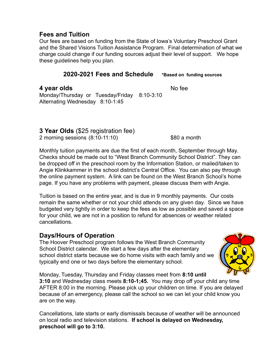## **Fees and Tuition**

Our fees are based on funding from the State of Iowa's Voluntary Preschool Grant and the Shared Visions Tuition Assistance Program. Final determination of what we charge could change if our funding sources adjust their level of support. We hope these guidelines help you plan.

#### **2020-2021 Fees and Schedule \*Based on funding sources**

# **4 year olds** No fee

Monday/Thursday or Tuesday/Friday 8:10-3:10 Alternating Wednesday 8:10-1:45

#### **3 Year Olds** (\$25 registration fee) 2 morning sessions (8:10-11:10) \$80 a month

Monthly tuition payments are due the first of each month, September through May. Checks should be made out to "West Branch Community School District". They can be dropped off in the preschool room by the Information Station, or mailed/taken to Angie Klinkkammer in the school district's Central Office. You can also pay through the online payment system. A link can be found on the West Branch School's home page. If you have any problems with payment, please discuss them with Angie.

Tuition is based on the entire year, and is due in 9 monthly payments. Our costs remain the same whether or not your child attends on any given day. Since we have budgeted very tightly in order to keep the fees as low as possible and saved a space for your child, we are not in a position to refund for absences or weather related cancellations.

# **Days/Hours of Operation**

The Hoover Preschool program follows the West Branch Community School District calendar. We start a few days after the elementary school district starts because we do home visits with each family and we typically end one or two days before the elementary school.



Monday, Tuesday, Thursday and Friday classes meet from **8:10 until 3:10** and Wednesday class meets **8:10-1;45.** You may drop off your child any time AFTER 8:00 in the morning. Please pick up your children on time. If you are delayed because of an emergency, please call the school so we can let your child know you are on the way.

Cancellations, late starts or early dismissals because of weather will be announced on local radio and television stations. **If school is delayed on Wednesday, preschool will go to 3:10.**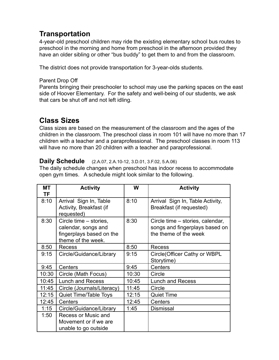# **Transportation**

4-year-old preschool children may ride the existing elementary school bus routes to preschool in the morning and home from preschool in the afternoon provided they have an older sibling or other "bus buddy" to get them to and from the classroom.

The district does not provide transportation for 3-year-olds students.

#### Parent Drop Off

Parents bringing their preschooler to school may use the parking spaces on the east side of Hoover Elementary. For the safety and well-being of our students, we ask that cars be shut off and not left idling.

# **Class Sizes**

Class sizes are based on the measurement of the classroom and the ages of the children in the classroom. The preschool class in room 101 will have no more than 17 children with a teacher and a paraprofessional. The preschool classes in room 113 will have no more than 20 children with a teacher and paraprofessional.

#### **Daily Schedule** (2.A.07, 2.A.10-12, 3.D.01, 3.F.02, 5.A.06)

The daily schedule changes when preschool has indoor recess to accommodate open gym times. A schedule might look similar to the following.

| MТ        | <b>Activity</b>                                   | W     | <b>Activity</b>                                              |
|-----------|---------------------------------------------------|-------|--------------------------------------------------------------|
| <b>TF</b> |                                                   |       |                                                              |
| 8:10      | Arrival Sign In, Table<br>Activity, Breakfast (if | 8:10  | Arrival Sign In, Table Activity,<br>Breakfast (if requested) |
|           | requested)                                        |       |                                                              |
| 8:30      | Circle time - stories,                            | 8:30  | Circle time – stories, calendar,                             |
|           | calendar, songs and                               |       | songs and fingerplays based on                               |
|           | fingerplays based on the                          |       | the theme of the week                                        |
|           | theme of the week.                                |       |                                                              |
| 8:50      | <b>Recess</b>                                     | 8:50  | <b>Recess</b>                                                |
| 9:15      | Circle/Guidance/Library                           | 9:15  | Circle (Officer Cathy or WBPL                                |
|           |                                                   |       | Storytime)                                                   |
| 9:45      | Centers                                           | 9:45  | Centers                                                      |
| 10:30     | Circle (Math Focus)                               | 10:30 | Circle                                                       |
| 10:45     | Lunch and Recess                                  | 10:45 | <b>Lunch and Recess</b>                                      |
| 11:45     | Circle (Journals/Literacy)                        | 11:45 | Circle                                                       |
| 12:15     | <b>Quiet Time/Table Toys</b>                      | 12:15 | <b>Quiet Time</b>                                            |
| 12:45     | Centers                                           | 12:45 | Centers                                                      |
| 1:15      | Circle/Guidance/Library                           | 1:45  | <b>Dismissal</b>                                             |
| 1:50      | Recess or Music and                               |       |                                                              |
|           | Movement or if we are                             |       |                                                              |
|           | unable to go outside                              |       |                                                              |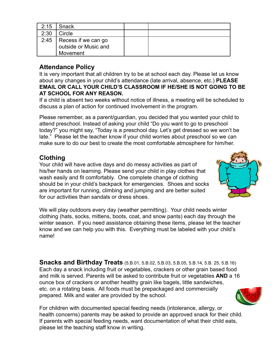| 2:15 | I Snack                    |  |
|------|----------------------------|--|
| 2:30 | Circle                     |  |
|      | 2:45   Recess if we can go |  |
|      | outside or Music and       |  |
|      | Movement                   |  |

# **Attendance Policy**

It is very important that all children try to be at school each day. Please let us know about any changes in your child's attendance (late arrival, absence, etc.) **PLEASE EMAIL OR CALL YOUR CHILD'S CLASSROOM IF HE/SHE IS NOT GOING TO BE AT SCHOOL FOR ANY REASON.**

If a child is absent two weeks without notice of illness, a meeting will be scheduled to discuss a plan of action for continued involvement in the program.

Please remember, as a parent/guardian, you decided that you wanted your child to attend preschool. Instead of asking your child "Do you want to go to preschool today?" you might say, "Today is a preschool day. Let's get dressed so we won't be late." Please let the teacher know if your child worries about preschool so we can make sure to do our best to create the most comfortable atmosphere for him/her.

# **Clothing**

Your child will have active days and do messy activities as part of his/her hands on learning. Please send your child in play clothes that wash easily and fit comfortably. One complete change of clothing should be in your child's backpack for emergencies. Shoes and socks are important for running, climbing and jumping and are better suited for our activities than sandals or dress shoes.

We will play outdoors every day (weather permitting). Your child needs winter clothing (hats, socks, mittens, boots, coat, and snow pants) each day through the winter season. If you need assistance obtaining these items, please let the teacher know and we can help you with this. Everything must be labeled with your child's name!

**Snacks and Birthday Treats** (5.B.01, 5.B.02, 5.B.03, 5.B.05, 5.B.14, 5.B. 25, 5.B.16) Each day a snack including fruit or vegetables, crackers or other grain based food and milk is served. Parents will be asked to contribute fruit or vegetables **AND** a 16 ounce box of crackers or another healthy grain like bagels, little sandwiches, etc. on a rotating basis. All foods must be prepackaged and commercially prepared. Milk and water are provided by the school.

For children with documented special feeding needs (intolerance, allergy, or health concerns) parents may be asked to provide an approved snack for their child. If parents with special feeding needs, want documentation of what their child eats, please let the teaching staff know in writing.



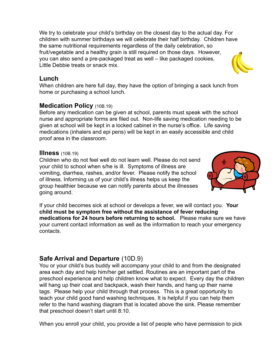We try to celebrate your child's birthday on the closest day to the actual day. For children with summer birthdays we will celebrate their half birthday. Children have the same nutritional requirements regardless of the daily celebration, so fruit/vegetable and a healthy grain is still required on those days. However, you can also send a pre-packaged treat as well – like packaged cookies, Little Debbie treats or snack mix.

#### **Lunch**

When children are here full day, they have the option of bringing a sack lunch from home or purchasing a school lunch.

# **Medication Policy** (10B.19)

Before any medication can be given at school, parents must speak with the school nurse and appropriate forms are filed out. Non-life saving medication needing to be given at school will be kept in a locked cabinet in the nurse's office. Life saving medications (inhalers and epi pens) will be kept in an easily accessible and child proof area in the classroom.

#### **Illness** (10B.19)

Children who do not feel well do not learn well. Please do not send your child to school when s/he is ill. Symptoms of illness are vomiting, diarrhea, rashes, and/or fever. Please notify the school of illness. Informing us of your child's illness helps us keep the group healthier because we can notify parents about the illnesses going around.

If your child becomes sick at school or develops a fever, we will contact you. **Your child must be symptom free without the assistance of fever reducing medications for 24 hours before returning to school.** Please make sure we have your current contact information as well as the information to reach your emergency contacts.

# **Safe Arrival and Departure** (10D.9)

You or your child's bus buddy will accompany your child to and from the designated area each day and help him/her get settled. Routines are an important part of the preschool experience and help children know what to expect. Every day the children will hang up their coat and backpack, wash their hands, and hang up their name tags. Please help your child through that process. This is a great opportunity to teach your child good hand washing techniques. It is helpful if you can help them refer to the hand washing diagram that is located above the sink. Please remember that preschool doesn't start until 8:10.

When you enroll your child, you provide a list of people who have permission to pick



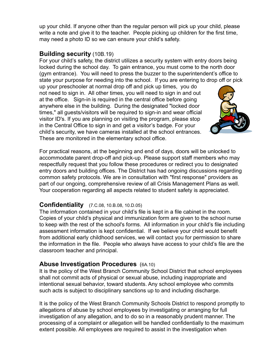up your child. If anyone other than the regular person will pick up your child, please write a note and give it to the teacher. People picking up children for the first time, may need a photo ID so we can ensure your child's safety.

## **Building security** (10B.19)

For your child's safety, the district utilizes a security system with entry doors being locked during the school day. To gain entrance, you must come to the north door (gym entrance). You will need to press the buzzer to the superintendent's office to state your purpose for needing into the school. If you are entering to drop off or pick

up your preschooler at normal drop off and pick up times, you do not need to sign in. All other times, you will need to sign in and out at the office. Sign-in is required in the central office before going anywhere else in the building. During the designated "locked door times," all guests/visitors will be required to sign-in and wear official visitor ID's. If you are planning on visiting the program, please stop in the Central Office to sign in and get a visitor's badge. For your child's security, we have cameras installed at the school entrances. These are monitored in the elementary school office.



For practical reasons, at the beginning and end of days, doors will be unlocked to accommodate parent drop-off and pick-up. Please support staff members who may respectfully request that you follow these procedures or redirect you to designated entry doors and building offices. The District has had ongoing discussions regarding common safety protocols. We are in consultation with "first response" providers as part of our ongoing, comprehensive review of all Crisis Management Plans as well. Your cooperation regarding all aspects related to student safety is appreciated.

# **Confidentiality** (7.C.08, 10.B.08, 10.D.05)

The information contained in your child's file is kept in a file cabinet in the room. Copies of your child's physical and immunization form are given to the school nurse to keep with the rest of the school's forms. All information in your child's file including assessment information is kept confidential. If we believe your child would benefit from additional early childhood services, we will contact you for permission to share the information in the file. People who always have access to your child's file are the classroom teacher and principal.

# **Abuse Investigation Procedures** (6A.10)

It is the policy of the West Branch Community School District that school employees shall not commit acts of physical or sexual abuse, including inappropriate and intentional sexual behavior, toward students. Any school employee who commits such acts is subject to disciplinary sanctions up to and including discharge.

It is the policy of the West Branch Community Schools District to respond promptly to allegations of abuse by school employees by investigating or arranging for full investigation of any allegation, and to do so in a reasonably prudent manner. The processing of a complaint or allegation will be handled confidentially to the maximum extent possible. All employees are required to assist in the investigation when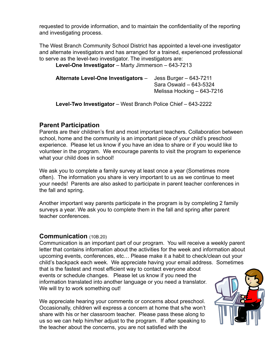requested to provide information, and to maintain the confidentiality of the reporting and investigating process.

The West Branch Community School District has appointed a level-one investigator and alternate investigators and has arranged for a trained, experienced professional to serve as the level-two investigator. The investigators are:

**Level-One Investigator** – Marty Jimmerson – 643-7213

| Alternate Level-One Investigators - | Jess Burger $-643-7211$    |
|-------------------------------------|----------------------------|
|                                     | Sara Oswald - 643-5324     |
|                                     | Melissa Hocking – 643-7216 |

**Level-Two Investigator** – West Branch Police Chief – 643-2222

# **Parent Participation**

Parents are their children's first and most important teachers. Collaboration between school, home and the community is an important piece of your child's preschool experience. Please let us know if you have an idea to share or if you would like to volunteer in the program. We encourage parents to visit the program to experience what your child does in school!

We ask you to complete a family survey at least once a year (Sometimes more often). The information you share is very important to us as we continue to meet your needs! Parents are also asked to participate in parent teacher conferences in the fall and spring.

Another important way parents participate in the program is by completing 2 family surveys a year. We ask you to complete them in the fall and spring after parent teacher conferences.

#### **Communication** (10B.20)

Communication is an important part of our program. You will receive a weekly parent letter that contains information about the activities for the week and information about upcoming events, conferences, etc… Please make it a habit to check/clean out your child's backpack each week. We appreciate having your email address. Sometimes

that is the fastest and most efficient way to contact everyone about events or schedule changes. Please let us know if you need the information translated into another language or you need a translator. We will try to work something out!

We appreciate hearing your comments or concerns about preschool. Occasionally, children will express a concern at home that s/he won't share with his or her classroom teacher. Please pass these along to us so we can help him/her adjust to the program. If after speaking to the teacher about the concerns, you are not satisfied with the

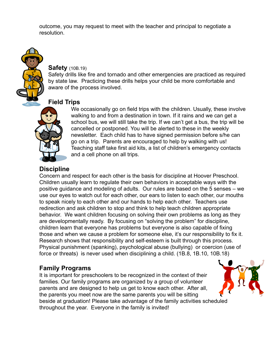outcome, you may request to meet with the teacher and principal to negotiate a resolution.



#### **Safety** (10B.19)

Safety drills like fire and tornado and other emergencies are practiced as required by state law. Practicing these drills helps your child be more comfortable and aware of the process involved.

# **Field Trips**



We occasionally go on field trips with the children. Usually, these involve walking to and from a destination in town. If it rains and we can get a school bus, we will still take the trip. If we can't get a bus, the trip will be cancelled or postponed. You will be alerted to these in the weekly newsletter. Each child has to have signed permission before s/he can go on a trip. Parents are encouraged to help by walking with us! Teaching staff take first aid kits, a list of children's emergency contacts and a cell phone on all trips.

# **Discipline**

Concern and respect for each other is the basis for discipline at Hoover Preschool. Children usually learn to regulate their own behaviors in acceptable ways with the positive guidance and modeling of adults. Our rules are based on the 5 senses – we use our eyes to watch out for each other, our ears to listen to each other, our mouths to speak nicely to each other and our hands to help each other. Teachers use redirection and ask children to stop and think to help teach children appropriate behavior. We want children focusing on solving their own problems as long as they are developmentally ready. By focusing on "solving the problem" for discipline, children learn that everyone has problems but everyone is also capable of fixing those and when we cause a problem for someone else, it's our responsibility to fix it. Research shows that responsibility and self-esteem is built through this process. Physical punishment (spanking), psychological abuse (bullying) or coercion (use of force or threats) is never used when disciplining a child. (1B.8, 1B.10, 10B.18)

# **Family Programs**

It is important for preschoolers to be recognized in the context of their families. Our family programs are organized by a group of volunteer parents and are designed to help us get to know each other. After all, the parents you meet now are the same parents you will be sitting beside at graduation! Please take advantage of the family activities scheduled throughout the year. Everyone in the family is invited!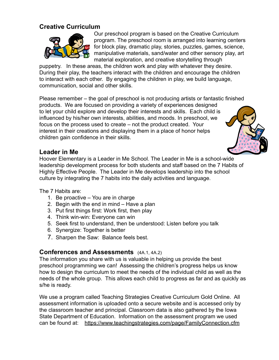# **Creative Curriculum**



Our preschool program is based on the Creative Curriculum program. The preschool room is arranged into learning centers for block play, dramatic play, stories, puzzles, games, science, manipulative materials, sand/water and other sensory play, art material exploration, and creative storytelling through

puppetry. In these areas, the children work and play with whatever they desire. During their play, the teachers interact with the children and encourage the children to interact with each other. By engaging the children in play, we build language, communication, social and other skills.

Please remember – the goal of preschool is not producing artists or fantastic finished products. We are focused on providing a variety of experiences designed to let your child explore and develop their interests and skills. Each child is influenced by his/her own interests, abilities, and moods. In preschool, we focus on the process used to create – not the product created. Your interest in their creations and displaying them in a place of honor helps children gain confidence in their skills.



Hoover Elementary is a Leader in Me School. The Leader in Me is a school-wide leadership development process for both students and staff based on the 7 Habits of Highly Effective People. The Leader in Me develops leadership into the school culture by integrating the 7 habits into the daily activities and language.

The 7 Habits are:

- 1. Be proactive You are in charge
- 2. Begin with the end in mind Have a plan
- 3. Put first things first: Work first, then play
- 4. Think win-win: Everyone can win
- 5. Seek first to understand, then be understood: Listen before you talk
- 6. Synergize: Together is better
- 7. Sharpen the Saw: Balance feels best.

#### **Conferences and Assessments** (4A.1, 4A.2)

The information you share with us is valuable in helping us provide the best preschool programming we can! Assessing the children's progress helps us know how to design the curriculum to meet the needs of the individual child as well as the needs of the whole group. This allows each child to progress as far and as quickly as s/he is ready.

We use a program called Teaching Strategies Creative Curriculum Gold Online. All assessment information is uploaded onto a secure website and is accessed only by the classroom teacher and principal. Classroom data is also gathered by the Iowa State Department of Education. Information on the assessment program we used can be found at: <https://www.teachingstrategies.com/page/FamilyConnection.cfm>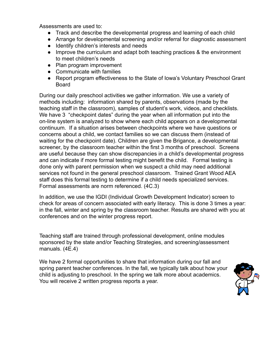Assessments are used to:

- Track and describe the developmental progress and learning of each child
- Arrange for developmental screening and/or referral for diagnostic assessment
- Identify children's interests and needs
- Improve the curriculum and adapt both teaching practices & the environment to meet children's needs
- Plan program improvement
- Communicate with families
- Report program effectiveness to the State of Iowa's Voluntary Preschool Grant Board

During our daily preschool activities we gather information. We use a variety of methods including: information shared by parents, observations (made by the teaching staff in the classroom), samples of student's work, videos, and checklists. We have 3 "checkpoint dates" during the year when all information put into the on-line system is analyzed to show where each child appears on a developmental continuum. If a situation arises between checkpoints where we have questions or concerns about a child, we contact families so we can discuss them (instead of waiting for the checkpoint date). Children are given the Brigance, a developmental screener, by the classroom teacher within the first 3 months of preschool. Screens are useful because they can show discrepancies in a child's developmental progress and can indicate if more formal testing might benefit the child. Formal testing is done only with parent permission when we suspect a child may need additional services not found in the general preschool classroom. Trained Grant Wood AEA staff does this formal testing to determine if a child needs specialized services. Formal assessments are norm referenced. (4C.3)

In addition, we use the IGDI (Individual Growth Development Indicator) screen to check for areas of concern associated with early literacy. This is done 3 times a year: in the fall, winter and spring by the classroom teacher. Results are shared with you at conferences and on the winter progress report.

Teaching staff are trained through professional development, online modules sponsored by the state and/or Teaching Strategies, and screening/assessment manuals. (4E.4)

We have 2 formal opportunities to share that information during our fall and spring parent teacher conferences. In the fall, we typically talk about how your child is adjusting to preschool. In the spring we talk more about academics. You will receive 2 written progress reports a year.

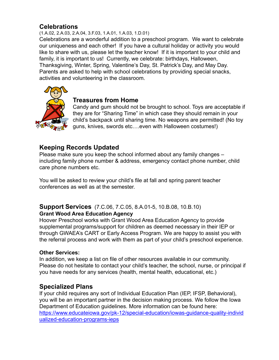# **Celebrations**

(1.A.02, 2.A.03, 2.A.04, 3.F.03, 1.A.01, 1.A.03, 1.D.01)

Celebrations are a wonderful addition to a preschool program. We want to celebrate our uniqueness and each other! If you have a cultural holiday or activity you would like to share with us, please let the teacher know! If it is important to your child and family, it is important to us! Currently, we celebrate: birthdays, Halloween, Thanksgiving, Winter, Spring, Valentine's Day, St. Patrick's Day, and May Day. Parents are asked to help with school celebrations by providing special snacks, activities and volunteering in the classroom.



## **Treasures from Home**

Candy and gum should not be brought to school. Toys are acceptable if they are for "Sharing Time" in which case they should remain in your child's backpack until sharing time. No weapons are permitted! (No toy guns, knives, swords etc….even with Halloween costumes!)

# **Keeping Records Updated**

Please make sure you keep the school informed about any family changes – including family phone number & address, emergency contact phone number, child care phone numbers etc.

You will be asked to review your child's file at fall and spring parent teacher conferences as well as at the semester.

#### **Support Services** (7.C.06, 7.C.05, 8.A.01-5, 10.B.08, 10.B.10) **Grant Wood Area Education Agency**

Hoover Preschool works with Grant Wood Area Education Agency to provide supplemental programs/support for children as deemed necessary in their IEP or through GWAEA's CART or Early Access Program. We are happy to assist you with the referral process and work with them as part of your child's preschool experience.

#### **Other Services:**

In addition, we keep a list on file of other resources available in our community. Please do not hesitate to contact your child's teacher, the school, nurse, or principal if you have needs for any services (health, mental health, educational, etc.)

# **Specialized Plans**

If your child requires any sort of Individual Education Plan (IEP, IFSP, Behavioral), you will be an important partner in the decision making process. We follow the Iowa Department of Education guidelines. More information can be found here: [https://www.educateiowa.gov/pk-12/special-education/iowas-guidance-quality-individ](https://www.educateiowa.gov/pk-12/special-education/iowas-guidance-quality-individualized-education-programs-ieps) [ualized-education-programs-ieps](https://www.educateiowa.gov/pk-12/special-education/iowas-guidance-quality-individualized-education-programs-ieps)